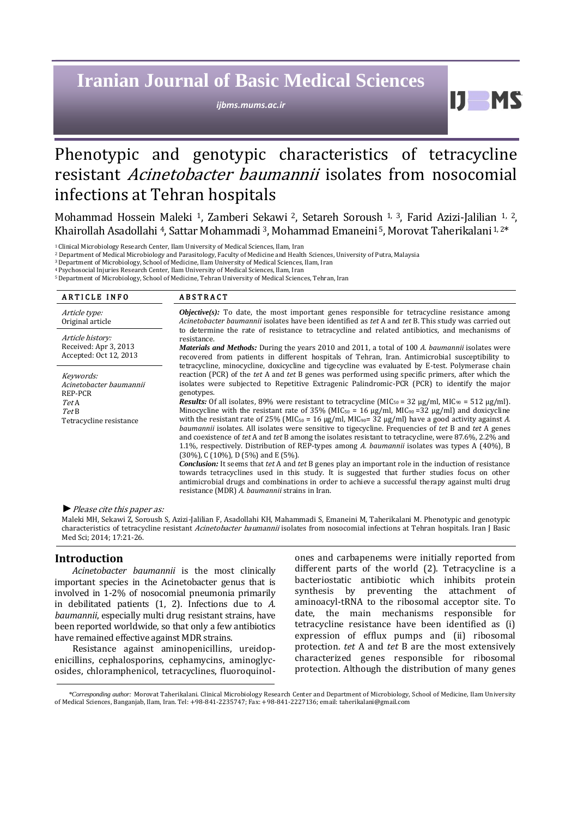# **Iranian Journal of Basic Medical Sciences**

*ijbms.mums.ac.ir*

## Phenotypic and genotypic characteristics of tetracycline resistant Acinetobacter baumannii isolates from nosocomial infections at Tehran hospitals

Mohammad Hossein Maleki 1, Zamberi Sekawi <sup>2</sup>, Setareh Soroush 1, <sup>3</sup>, Farid Azizi-Jalilian 1, <sup>2</sup>, Khairollah Asadollahi <sup>4</sup>, Sattar Mohammadi <sup>3</sup>, Mohammad Emaneini <sup>5</sup>, Morovat Taherikalani <sup>1, 2\*</sup>

<sup>1</sup>Clinical Microbiology Research Center, Ilam University of Medical Sciences, Ilam, Iran

<sup>2</sup> Department of Medical Microbiology and Parasitology, Faculty of Medicine and Health Sciences, University of Putra, Malaysia

<sup>3</sup>Department of Microbiology, School of Medicine, Ilam University of Medical Sciences, Ilam, Iran

<sup>4</sup>Psychosocial Injuries Research Center, Ilam University of Medical Sciences, Ilam, Iran

<sup>5</sup>Department of Microbiology, School of Medicine, Tehran University of Medical Sciences, Tehran, Iran

| <b>ARTICLE INFO</b>                                                                         | <b>ABSTRACT</b>                                                                                                                                                                                                                                                                                                                                                                                                                                                                                                                                                                                                                                                                                                                                                                                                                                                                                                                                                                                                                                                                                                                                                                                                                                                                                                                                                                                                         |
|---------------------------------------------------------------------------------------------|-------------------------------------------------------------------------------------------------------------------------------------------------------------------------------------------------------------------------------------------------------------------------------------------------------------------------------------------------------------------------------------------------------------------------------------------------------------------------------------------------------------------------------------------------------------------------------------------------------------------------------------------------------------------------------------------------------------------------------------------------------------------------------------------------------------------------------------------------------------------------------------------------------------------------------------------------------------------------------------------------------------------------------------------------------------------------------------------------------------------------------------------------------------------------------------------------------------------------------------------------------------------------------------------------------------------------------------------------------------------------------------------------------------------------|
| Article type:<br>Original article                                                           | <b><i>Objective(s)</i></b> : To date, the most important genes responsible for tetracycline resistance among<br>Acinetobacter baumannii isolates have been identified as tet A and tet B. This study was carried out                                                                                                                                                                                                                                                                                                                                                                                                                                                                                                                                                                                                                                                                                                                                                                                                                                                                                                                                                                                                                                                                                                                                                                                                    |
| Article history:<br>Received: Apr 3, 2013<br>Accepted: Oct 12, 2013                         | to determine the rate of resistance to tetracycline and related antibiotics, and mechanisms of<br>resistance.<br><i>Materials and Methods:</i> During the years 2010 and 2011, a total of 100 A. baumannii isolates were<br>recovered from patients in different hospitals of Tehran, Iran. Antimicrobial susceptibility to                                                                                                                                                                                                                                                                                                                                                                                                                                                                                                                                                                                                                                                                                                                                                                                                                                                                                                                                                                                                                                                                                             |
| Keywords:<br>Acinetobacter baumannii<br>REP-PCR<br>TetA<br>Tet B<br>Tetracycline resistance | tetracycline, minocycline, doxicycline and tigecycline was evaluated by E-test. Polymerase chain<br>reaction (PCR) of the tet A and tet B genes was performed using specific primers, after which the<br>isolates were subjected to Repetitive Extragenic Palindromic-PCR (PCR) to identify the major<br>genotypes.<br><b>Results:</b> Of all isolates, 89% were resistant to tetracycline (MIC <sub>50</sub> = 32 µg/ml, MIC <sub>90</sub> = 512 µg/ml).<br>Minocycline with the resistant rate of 35% (MIC <sub>50</sub> = 16 µg/ml, MIC <sub>90</sub> = 32 µg/ml) and doxicycline<br>with the resistant rate of 25% (MIC <sub>50</sub> = 16 µg/ml, MIC <sub>90</sub> = 32 µg/ml) have a good activity against A.<br><i>baumannii</i> isolates. All isolates were sensitive to tigecycline. Frequencies of tet B and tet A genes<br>and coexistence of tet A and tet B among the isolates resistant to tetracycline, were 87.6%, 2.2% and<br>1.1%, respectively. Distribution of REP-types among A. baumannii isolates was types A (40%), B<br>$(30\%)$ , C $(10\%)$ , D $(5\%)$ and E $(5\%)$ .<br><b>Conclusion:</b> It seems that tet A and tet B genes play an important role in the induction of resistance<br>towards tetracyclines used in this study. It is suggested that further studies focus on other<br>antimicrobial drugs and combinations in order to achieve a successful therapy against multi drug |
|                                                                                             | resistance (MDR) A. baumannii strains in Iran.                                                                                                                                                                                                                                                                                                                                                                                                                                                                                                                                                                                                                                                                                                                                                                                                                                                                                                                                                                                                                                                                                                                                                                                                                                                                                                                                                                          |

*►*Please cite this paper as:

Maleki MH, Sekawi Z, Soroush S, Azizi-Jalilian F, Asadollahi KH, Mahammadi S, Emaneini M, Taherikalani M. Phenotypic and genotypic characteristics of tetracycline resistant Acinetobacter baumannii isolates from nosocomial infections at Tehran hospitals. Iran J Basic Med Sci; 2014; 17:21-26.

#### **Introduction**

*Acinetobacter baumannii* is the most clinically important species in the Acinetobacter genus that is involved in 1-2% of nosocomial pneumonia primarily in debilitated patients (1, 2). Infections due to *A. baumannii*, especially multi drug resistant strains, have been reported worldwide, so that only a few antibiotics have remained effective against MDR strains.

Resistance against aminopenicillins, ureidopenicillins, cephalosporins, cephamycins, aminoglycosides, chloramphenicol, tetracyclines, fluoroquinolones and carbapenems were initially reported from different parts of the world (2). Tetracycline is a bacteriostatic antibiotic which inhibits protein synthesis by preventing the attachment of aminoacyl-tRNA to the ribosomal acceptor site. To date, the main mechanisms responsible for tetracycline resistance have been identified as (i) expression of efflux pumps and (ii) ribosomal protection. *tet* A and *tet* B are the most extensively characterized genes responsible for ribosomal protection. Although the distribution of many genes

Ш

*\*Corresponding author:* Morovat Taherikalani. Clinical Microbiology Research Center and Department of Microbiology, School of Medicine, Ilam University of Medical Sciences, Banganjab, Ilam, Iran. Tel: +98-841-2235747; Fax: +98-841-2227136; email[: taherikalani@gmail.com](mailto:taherikalani@gmail.com)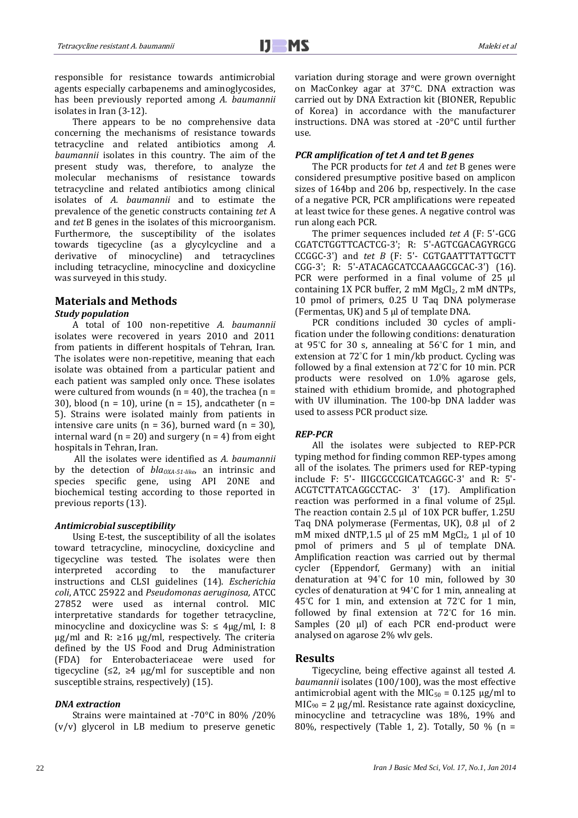responsible for resistance towards antimicrobial agents especially carbapenems and aminoglycosides, has been previously reported among *A. baumannii* isolates in Iran (3-12).

There appears to be no comprehensive data concerning the mechanisms of resistance towards tetracycline and related antibiotics among *A. baumannii* isolates in this country. The aim of the present study was, therefore, to analyze the molecular mechanisms of resistance towards tetracycline and related antibiotics among clinical isolates of *A. baumannii* and to estimate the prevalence of the genetic constructs containing *tet* A and *tet* B genes in the isolates of this microorganism. Furthermore, the susceptibility of the isolates towards tigecycline (as a glycylcycline and a derivative of minocycline) and tetracyclines including tetracycline, minocycline and doxicycline was surveyed in this study.

## **Materials and Methods**

### *Study population*

A total of 100 non-repetitive *A. baumannii* isolates were recovered in years 2010 and 2011 from patients in different hospitals of Tehran, Iran. The isolates were non-repetitive, meaning that each isolate was obtained from a particular patient and each patient was sampled only once. These isolates were cultured from wounds ( $n = 40$ ), the trachea ( $n =$ 30), blood (n = 10), urine (n = 15), and catheter (n = 5). Strains were isolated mainly from patients in intensive care units ( $n = 36$ ), burned ward ( $n = 30$ ), internal ward ( $n = 20$ ) and surgery ( $n = 4$ ) from eight hospitals in Tehran, Iran.

All the isolates were identified as *A. baumannii* by the detection of *blaOXA-51-like*, an intrinsic and species specific gene, using API 20NE and biochemical testing according to those reported in previous reports (13).

#### *Antimicrobial susceptibility*

Using E-test, the susceptibility of all the isolates toward tetracycline, minocycline, doxicycline and tigecycline was tested. The isolates were then interpreted according to the manufacturer instructions and CLSI guidelines (14). *Escherichia coli*, ATCC 25922 and *Pseudomonas aeruginosa,* ATCC 27852 were used as internal control. MIC interpretative standards for together tetracycline, minocycline and doxicycline was  $S: \leq 4\mu g/ml$ , I: 8 μg/ml and R: ≥16 μg/ml, respectively. The criteria defined by the US Food and Drug Administration (FDA) for Enterobacteriaceae were used for tigecycline ( $\leq 2$ ,  $\geq 4$  µg/ml for susceptible and non susceptible strains, respectively) (15).

#### *DNA extraction*

Strains were maintained at -70°C in 80% /20% (v/v) glycerol in LB medium to preserve genetic variation during storage and were grown overnight on MacConkey agar at 37°C. DNA extraction was carried out by DNA Extraction kit (BIONER, Republic of Korea) in accordance with the manufacturer instructions. DNA was stored at -20°C until further use.

#### *PCR amplification of tet A and tet B genes*

The PCR products for *tet A* and *tet* B genes were considered presumptive positive based on amplicon sizes of 164bp and 206 bp, respectively. In the case of a negative PCR, PCR amplifications were repeated at least twice for these genes. A negative control was run along each PCR.

The primer sequences included *tet A* (F: 5'-GCG CGATCTGGTTCACTCG-3'; R: 5'-AGTCGACAGYRGCG CCGGC-3') and *tet B* (F: 5'- CGTGAATTTATTGCTT CGG-3'; R: 5'-ATACAGCATCCAAAGCGCAC-3') (16). PCR were performed in a final volume of 25 μl containing 1X PCR buffer, 2 mM  $MgCl<sub>2</sub>$ , 2 mM dNTPs, 10 pmol of primers, 0.25 U Taq DNA polymerase (Fermentas, UK) and 5 μl of template DNA.

PCR conditions included 30 cycles of amplification under the following conditions: denaturation at 95°C for 30 s, annealing at 56°C for 1 min, and extension at 72°C for 1 min/kb product. Cycling was followed by a final extension at 72°C for 10 min. PCR products were resolved on 1.0% agarose gels, stained with ethidium bromide, and photographed with UV illumination. The 100-bp DNA ladder was used to assess PCR product size.

#### *REP-PCR*

All the isolates were subjected to REP-PCR typing method for finding common REP-types among all of the isolates. The primers used for REP-typing include F: 5'- IIIGCGCCGICATCAGGC-3' and R: 5'- ACGTCTTATCAGGCCTAC- 3' (17). Amplification reaction was performed in a final volume of 25μl. The reaction contain 2.5 μl of 10X PCR buffer, 1.25U Taq DNA polymerase (Fermentas, UK), 0.8 μl of 2 mM mixed dNTP,1.5 μl of 25 mM MgCl<sub>2</sub>, 1 μl of 10 pmol of primers and 5 μl of template DNA. Amplification reaction was carried out by thermal cycler (Eppendorf, Germany) with an initial denaturation at 94°C for 10 min, followed by 30 cycles of denaturation at 94°C for 1 min, annealing at 45°C for 1 min, and extension at 72°C for 1 min, followed by final extension at 72°C for 16 min. Samples (20 µl) of each PCR end-product were analysed on agarose 2% wlv gels.

#### **Results**

Tigecycline, being effective against all tested *A. baumannii* isolates (100/100), was the most effective antimicrobial agent with the MIC<sub>50</sub> =  $0.125 \mu g/ml$  to  $MIC<sub>90</sub> = 2 \mu g/ml$ . Resistance rate against doxicycline, minocycline and tetracycline was 18%, 19% and 80%, respectively (Table 1, 2). Totally, 50 % (n =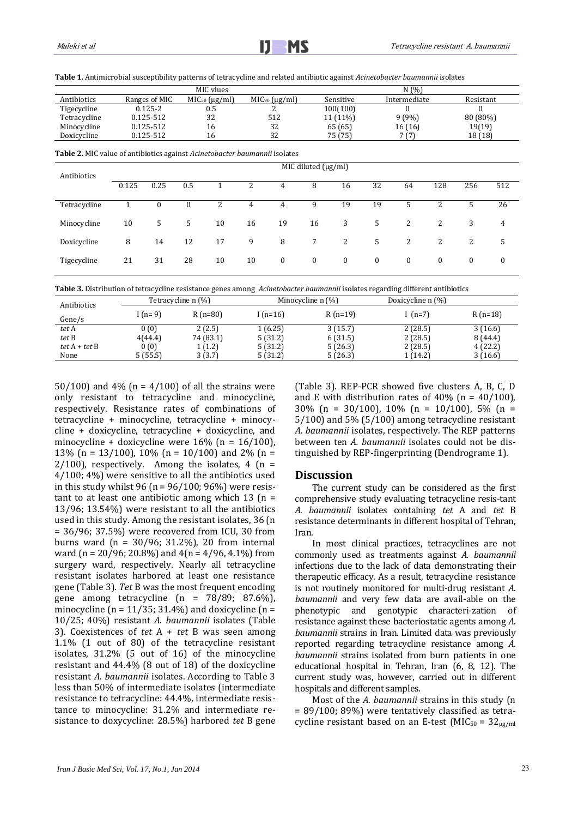**Table 1.** Antimicrobial susceptibility patterns of tetracycline and related antibiotic against *Acinetobacter baumannii* isolates

|              |               | MIC vlues             |                    |           | N(%)         |           |
|--------------|---------------|-----------------------|--------------------|-----------|--------------|-----------|
| Antibiotics  | Ranges of MIC | $MIC50$ ( $\mu$ g/ml) | $MIC90 (\mu g/ml)$ | Sensitive | Intermediate | Resistant |
| Tigecycline  | $0.125 - 2$   | 0.5                   |                    | 100(100)  |              |           |
| Tetracycline | 0.125-512     | 32                    | 512                | 11 (11%)  | 9(9%)        | 80 (80%)  |
| Minocycline  | 0.125-512     | 16                    | 32                 | 65 (65)   | 16(16)       | 19(19)    |
| Doxicycline  | 0.125-512     | 16                    | 32                 | 75 (75)   | 7 (7)        | 18 (18)   |
|              |               |                       |                    |           |              |           |

**Table 2.** MIC value of antibiotics against *Acinetobacter baumannii* isolates

| Antibiotics  | $\overline{MIC}$ diluted ( $\mu$ g/ml) |              |                  |    |    |          |              |              |              |              |     |          |          |
|--------------|----------------------------------------|--------------|------------------|----|----|----------|--------------|--------------|--------------|--------------|-----|----------|----------|
|              | 0.125                                  | 0.25         | 0.5              |    | 2  | 4        | 8            | 16           | 32           | 64           | 128 | 256      | 512      |
| Tetracycline |                                        | $\mathbf{0}$ | $\boldsymbol{0}$ | 2  | 4  | 4        | 9            | 19           | 19           |              | 2   |          | 26       |
| Minocycline  | 10                                     | 5            | 5                | 10 | 16 | 19       | 16           | 3            | 5            | 2            | 2   | 3        | 4        |
| Doxicycline  | 8                                      | 14           | 12               | 17 | 9  | 8        | $7^{\circ}$  | $\mathbf{2}$ | 5            | 2            | 2   | 2        | 5        |
| Tigecycline  | 21                                     | 31           | 28               | 10 | 10 | $\bf{0}$ | $\mathbf{0}$ | $\mathbf{0}$ | $\mathbf{0}$ | $\mathbf{0}$ | 0   | $\bf{0}$ | $\bf{0}$ |

**Table 3.** Distribution of tetracycline resistance genes among *Acinetobacter baumannii* isolates regarding different antibiotics

| Antibiotics     |                      | Tetracycline n (%) |            | Minocycline $n$ $\left(\frac{9}{0}\right)$ | Doxicycline n (%) |           |
|-----------------|----------------------|--------------------|------------|--------------------------------------------|-------------------|-----------|
|                 | $R(n=80)$<br>I (n=9) |                    | I $(n=16)$ | $R(n=19)$                                  | $(n=7)$           | $R(n=18)$ |
| Gene/s          |                      |                    |            |                                            |                   |           |
| tet A           | 0(0)                 | 2(2.5)             | 1(6.25)    | 3(15.7)                                    | 2(28.5)           | 3(16.6)   |
| tet B           | 4(44.4)              | 74 (83.1)          | 5(31.2)    | 6(31.5)                                    | 2(28.5)           | 8 (44.4)  |
| $tet A + tet B$ | 0(0)                 | 1 (1.2)            | 5(31.2)    | 5(26.3)                                    | 2(28.5)           | 4(22.2)   |
| None            | 5(55.5)              | 3(3.7)             | 5(31.2)    | 5(26.3)                                    | 1 (14.2)          | 3(16.6)   |

50/100) and 4% ( $n = 4/100$ ) of all the strains were only resistant to tetracycline and minocycline, respectively. Resistance rates of combinations of tetracycline + minocycline, tetracycline + minocycline + doxicycline, tetracycline + doxicycline, and minocycline + doxicycline were  $16\%$  (n =  $16/100$ ), 13% (n = 13/100), 10% (n = 10/100) and 2% (n =  $2/100$ ), respectively. Among the isolates, 4 (n = 4/100; 4%) were sensitive to all the antibiotics used in this study whilst 96 ( $n = 96/100$ ; 96%) were resistant to at least one antibiotic among which  $13$  (n = 13/96; 13.54%) were resistant to all the antibiotics used in this study. Among the resistant isolates, 36 (n = 36/96; 37.5%) were recovered from ICU, 30 from burns ward (n = 30/96; 31.2%), 20 from internal ward (n = 20/96; 20.8%) and  $4(n = 4/96, 4.1\%)$  from surgery ward, respectively. Nearly all tetracycline resistant isolates harbored at least one resistance gene (Table 3). *Tet* B was the most frequent encoding gene among tetracycline  $(n = 78/89; 87.6\%)$ , minocycline ( $n = 11/35$ ; 31.4%) and doxicycline ( $n =$ 10/25; 40%) resistant *A. baumannii* isolates (Table 3). Coexistences of *tet* A + *tet* B was seen among 1.1% (1 out of 80) of the tetracycline resistant isolates, 31.2% (5 out of 16) of the minocycline resistant and 44.4% (8 out of 18) of the doxicycline resistant *A. baumannii* isolates. According to Table 3 less than 50% of intermediate isolates (intermediate resistance to tetracycline: 44.4%, intermediate resistance to minocycline: 31.2% and intermediate resistance to doxycycline: 28.5%) harbored *tet* B gene (Table 3). REP-PCR showed five clusters A, B, C, D and E with distribution rates of 40% ( $n = 40/100$ ), 30% (n = 30/100), 10% (n = 10/100), 5% (n = 5/100) and 5% (5/100) among tetracycline resistant *A. baumannii* isolates, respectively. The REP patterns between ten *A. baumannii* isolates could not be distinguished by REP-fingerprinting (Dendrograme 1).

#### **Discussion**

The current study can be considered as the first comprehensive study evaluating tetracycline resis-tant *A. baumannii* isolates containing *tet* A and *tet* B resistance determinants in different hospital of Tehran, Iran.

In most clinical practices, tetracyclines are not commonly used as treatments against *A. baumannii* infections due to the lack of data demonstrating their therapeutic efficacy. As a result, tetracycline resistance is not routinely monitored for multi-drug resistant *A. baumannii* and very few data are avail-able on the phenotypic and genotypic characteri-zation of resistance against these bacteriostatic agents among *A. baumannii* strains in Iran. Limited data was previously reported regarding tetracycline resistance among *A. baumannii* strains isolated from burn patients in one educational hospital in Tehran, Iran (6, 8, 12). The current study was, however, carried out in different hospitals and different samples.

Most of the *A. baumannii* strains in this study (n = 89/100; 89%) were tentatively classified as tetracycline resistant based on an E-test (MIC<sub>50</sub> =  $32_{\text{ug/ml}}$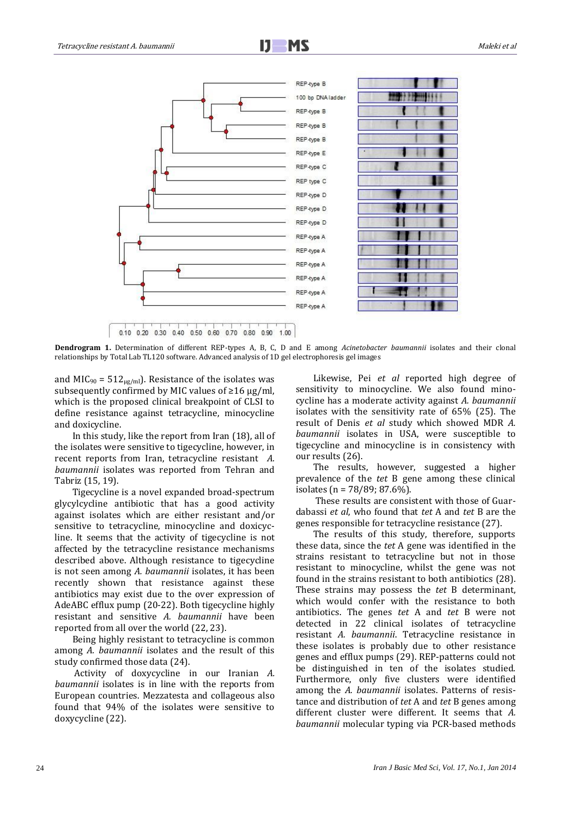

**Dendrogram 1.** Determination of different REP-types A, B, C, D and E among *Acinetobacter baumannii* isolates and their clonal relationships by Total Lab TL120 software. Advanced analysis of 1D gel electrophoresis gel images

and MIC<sub>90</sub> = 512<sub>µg/ml</sub>). Resistance of the isolates was subsequently confirmed by MIC values of ≥16 μg/ml, which is the proposed clinical breakpoint of CLSI to define resistance against tetracycline, minocycline and doxicycline.

In this study, like the report from Iran (18), all of the isolates were sensitive to tigecycline, however, in recent reports from Iran, tetracycline resistant *A. baumannii* isolates was reported from Tehran and Tabriz (15, 19).

Tigecycline is a novel expanded broad-spectrum glycylcycline antibiotic that has a good activity against isolates which are either resistant and/or sensitive to tetracycline, minocycline and doxicycline. It seems that the activity of tigecycline is not affected by the tetracycline resistance mechanisms described above. Although resistance to tigecycline is not seen among *A. baumannii* isolates, it has been recently shown that resistance against these antibiotics may exist due to the over expression of AdeABC efflux pump (20-22). Both tigecycline highly resistant and sensitive *A. baumannii* have been reported from all over the world (22, 23).

Being highly resistant to tetracycline is common among *A. baumannii* isolates and the result of this study confirmed those data (24).

Activity of doxycycline in our Iranian *A. baumannii* isolates is in line with the reports from European countries. Mezzatesta and collageous also found that 94% of the isolates were sensitive to doxycycline (22).

Likewise, Pei *et al* reported high degree of sensitivity to minocycline. We also found minocycline has a moderate activity against *A. baumannii* isolates with the sensitivity rate of 65% (25). The result of Denis *et al* study which showed MDR *A. baumannii* isolates in USA, were susceptible to tigecycline and minocycline is in consistency with our results (26).

The results, however, suggested a higher prevalence of the *tet* B gene among these clinical isolates (n = 78/89; 87.6%).

These results are consistent with those of Guardabassi *et al*, who found that *tet* A and *tet* B are the genes responsible for tetracycline resistance (27).

The results of this study, therefore, supports these data, since the *tet* A gene was identified in the strains resistant to tetracycline but not in those resistant to minocycline, whilst the gene was not found in the strains resistant to both antibiotics (28). These strains may possess the *tet* B determinant, which would confer with the resistance to both antibiotics. The genes *tet* A and *tet* B were not detected in 22 clinical isolates of tetracycline resistant *A. baumannii*. Tetracycline resistance in these isolates is probably due to other resistance genes and efflux pumps (29). REP-patterns could not be distinguished in ten of the isolates studied. Furthermore, only five clusters were identified among the *A. baumannii* isolates. Patterns of resistance and distribution of *tet* A and *tet* B genes among different cluster were different. It seems that *A. baumannii* molecular typing via PCR-based methods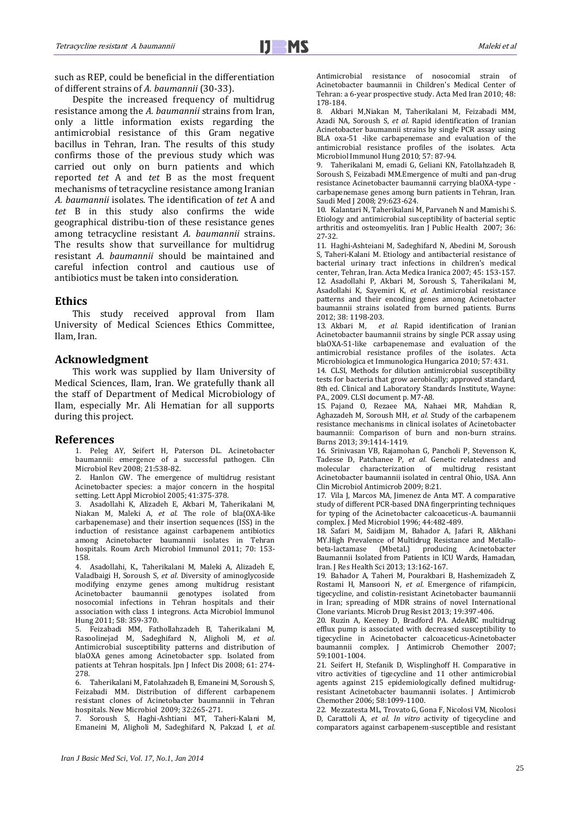such as REP, could be beneficial in the differentiation of different strains of *A. baumannii* (30-33).

Despite the increased frequency of multidrug resistance among the *A. baumannii* strains from Iran, only a little information exists regarding the antimicrobial resistance of this Gram negative bacillus in Tehran, Iran. The results of this study confirms those of the previous study which was carried out only on burn patients and which reported *tet* A and *tet* B as the most frequent mechanisms of tetracycline resistance among Iranian *A. baumannii* isolates. The identification of *tet* A and *tet* B in this study also confirms the wide geographical distribu-tion of these resistance genes among tetracycline resistant *A. baumannii* strains. The results show that surveillance for multidrug resistant *A. baumannii* should be maintained and careful infection control and cautious use of antibiotics must be taken into consideration.

#### **Ethics**

This study received approval from Ilam University of Medical Sciences Ethics Committee, Ilam, Iran.

#### **Acknowledgment**

This work was supplied by Ilam University of Medical Sciences, Ilam, Iran. We gratefully thank all the staff of Department of Medical Microbiology of Ilam, especially Mr. Ali Hematian for all supports during this project.

#### **References**

1. Peleg AY, Seifert H, Paterson DL. Acinetobacter baumannii: emergence of a successful pathogen. Clin Microbiol Rev 2008; 21:538-82.

2. Hanlon GW. The emergence of multidrug resistant Acinetobacter species: a major concern in the hospital setting. Lett Appl Microbiol 2005; 41:375-378.

3. Asadollahi K, Alizadeh E, Akbari M, Taherikalani M, Niakan M, Maleki A, *et al*. The role of bla(OXA-like carbapenemase) and their insertion sequences (ISS) in the induction of resistance against carbapenem antibiotics among Acinetobacter baumannii isolates in Tehran hospitals. Roum Arch Microbiol Immunol 2011; 70: 153- 158.

4. Asadollahi, K., Taherikalani M, Maleki A, Alizadeh E, Valadbaigi H, Soroush S, *et al*. Diversity of aminoglycoside modifying enzyme genes among multidrug resistant Acinetobacter baumannii genotypes isolated from nosocomial infections in Tehran hospitals and their association with class 1 integrons. Acta Microbiol Immunol Hung 2011; 58: 359-370.

5. Feizabadi MM, Fathollahzadeh B, Taherikalani M, Rasoolinejad M, Sadeghifard N, Aligholi M, *et al*. Antimicrobial susceptibility patterns and distribution of blaOXA genes among Acinetobacter spp. Isolated from patients at Tehran hospitals. Jpn J Infect Dis 2008; 61: 274- 278.

6. Taherikalani M, Fatolahzadeh B, Emaneini M, Soroush S, Feizabadi MM. Distribution of different carbapenem resistant clones of Acinetobacter baumannii in Tehran hospitals. New Microbiol 2009; 32:265-271.

7. Soroush S, Haghi-Ashtiani MT, Taheri-Kalani M, Emaneini M, Aligholi M, Sadeghifard N, Pakzad I, *et al.* Antimicrobial resistance of nosocomial strain of Acinetobacter baumannii in Children's Medical Center of Tehran: a 6-year prospective study. Acta Med Iran 2010; 48: 178-184.

8. Akbari M,Niakan M, Taherikalani M, Feizabadi MM, Azadi NA, Soroush S, *et al.* Rapid identification of Iranian Acinetobacter baumannii strains by single PCR assay using BLA oxa-51 -like carbapenemase and evaluation of the antimicrobial resistance profiles of the isolates. Acta Microbiol Immunol Hung 2010; 57: 87-94.

9. Taherikalani M, emadi G, Geliani KN, Fatollahzadeh B, Soroush S, Feizabadi MM.Emergence of multi and pan-drug resistance Acinetobacter baumannii carrying blaOXA-type carbapenemase genes among burn patients in Tehran, Iran. Saudi Med J 2008; 29:623-624.

10. Kalantari N, Taherikalani M, Parvaneh N and Mamishi S. Etiology and antimicrobial susceptibility of bacterial septic arthritis and osteomyelitis. Iran J Public Health 2007; 36: 27-32.

11. Haghi-Ashteiani M, Sadeghifard N, Abedini M, Soroush S, Taheri-Kalani M. Etiology and antibacterial resistance of bacterial urinary tract infections in children's medical center, Tehran, Iran. Acta Medica Iranica 2007; 45: 153-157. 12. Asadollahi P, Akbari M, Soroush S, Taherikalani M, Asadollahi K, Sayemiri K, *et al*. Antimicrobial resistance patterns and their encoding genes among Acinetobacter baumannii strains isolated from burned patients. Burns 2012; 38: 1198-203.

13. Akbari M, *et al.* Rapid identification of Iranian Acinetobacter baumannii strains by single PCR assay using blaOXA-51-like carbapenemase and evaluation of the antimicrobial resistance profiles of the isolates. Acta Microbiologica et Immunologica Hungarica 2010; 57: 431.

14. CLSI, Methods for dilution antimicrobial susceptibility tests for bacteria that grow aerobically; approved standard, 8th ed. Clinical and Laboratory Standards Institute, Wayne: PA., 2009. CLSI document p. M7-A8.

15. Pajand O, Rezaee MA, Nahaei MR, Mahdian R, Aghazadeh M, Soroush MH, *et al.* Study of the carbapenem resistance mechanisms in clinical isolates of Acinetobacter baumannii: Comparison of burn and non-burn strains. Burns 2013; 39:1414-1419.

16. Srinivasan VB, Rajamohan G, Pancholi P, Stevenson K, Tadesse D, Patchanee P, *et al.* Genetic relatedness and molecular characterization of multidrug resistant Acinetobacter baumannii isolated in central Ohio, USA. Ann Clin Microbiol Antimicrob 2009; 8:21.

17. Vila J, Marcos MA, Jimenez de Anta MT. A comparative study of different PCR-based DNA fingerprinting techniques for typing of the Acinetobacter calcoaceticus-A. baumannii complex. J Med Microbiol 1996; 44:482-489.

18. Safari M, Saidijam M, Bahador A, Jafari R, Alikhani MY.High Prevalence of Multidrug Resistance and Metallo-<br>beta-lactamase (Mbetal.) producing Acinetobacter beta-lactamase (MbetaL) producing Acinetobacter Baumannii Isolated from Patients in ICU Wards, Hamadan, Iran. J Res Health Sci 2013; 13:162-167.

19. Bahador A, Taheri M, Pourakbari B, Hashemizadeh Z, Rostami H, Mansoori N, *et al*. Emergence of rifampicin, tigecycline, and colistin-resistant Acinetobacter baumannii in Iran; spreading of MDR strains of novel International Clone variants. Microb Drug Resist 2013; 19:397-406.

20. Ruzin A, Keeney D, Bradford PA. AdeABC multidrug efflux pump is associated with decreased susceptibility to tigecycline in Acinetobacter calcoaceticus-Acinetobacter baumannii complex. J Antimicrob Chemother 2007; 59:1001-1004.

21. Seifert H, Stefanik D, Wisplinghoff H. Comparative in vitro activities of tigecycline and 11 other antimicrobial agents against 215 epidemiologically defined multidrugresistant Acinetobacter baumannii isolates. J Antimicrob Chemother 2006; 58:1099-1100.

22. Mezzatesta ML, Trovato G, Gona F, Nicolosi VM, Nicolosi D, Carattoli A, *et al. In vitro* activity of tigecycline and comparators against carbapenem-susceptible and resistant